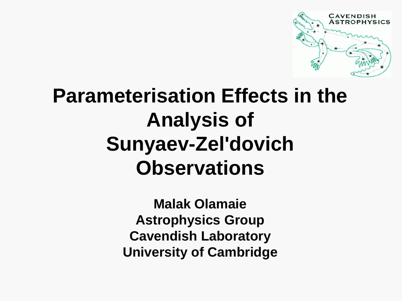

# **Parameterisation Effects in the Analysis of Sunyaev-Zel'dovich Observations**

**Malak Olamaie Astrophysics Group Cavendish Laboratory University of Cambridge**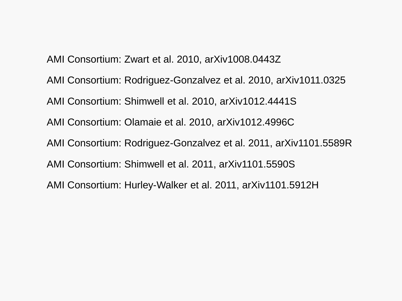AMI Consortium: Zwart et al. 2010, arXiv1008.0443Z AMI Consortium: Rodriguez-Gonzalvez et al. 2010, arXiv1011.0325 AMI Consortium: Shimwell et al. 2010, arXiv1012.4441S AMI Consortium: Olamaie et al. 2010, arXiv1012.4996C AMI Consortium: Rodriguez-Gonzalvez et al. 2011, arXiv1101.5589R AMI Consortium: Shimwell et al. 2011, arXiv1101.5590S AMI Consortium: Hurley-Walker et al. 2011, arXiv1101.5912H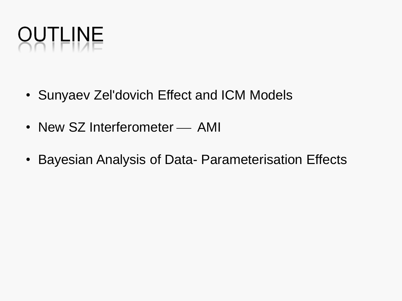

- Sunyaev Zel'dovich Effect and ICM Models
- New SZ Interferometer AMI
- Bayesian Analysis of Data- Parameterisation Effects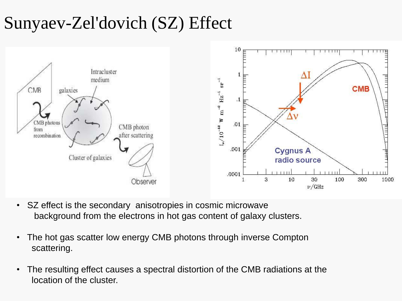### Sunyaev-Zel'dovich (SZ) Effect



- SZ effect is the secondary anisotropies in cosmic microwave background from the electrons in hot gas content of galaxy clusters.
- The hot gas scatter low energy CMB photons through inverse Compton scattering.
- The resulting effect causes a spectral distortion of the CMB radiations at the location of the cluster.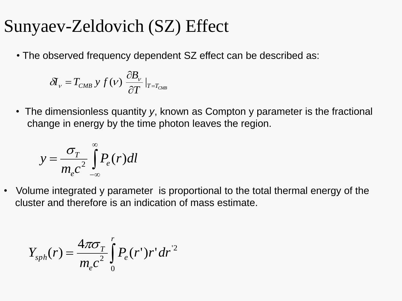#### Sunyaev-Zeldovich (SZ) Effect

• The observed frequency dependent SZ effect can be described as:

$$
\delta I_{V} = T_{CMB} y f(v) \frac{\partial B_{V}}{\partial T} \big|_{T = T_{CMB}}
$$

• The dimensionless quantity *y*, known as Compton y parameter is the fractional change in energy by the time photon leaves the region.

$$
y = \frac{\sigma_T}{m_e c^2} \int_{-\infty}^{\infty} P_e(r) dl
$$

• Volume integrated y parameter is proportional to the total thermal energy of the cluster and therefore is an indication of mass estimate.

$$
Y_{\rm sph}(r) = \frac{4\pi\sigma_T}{m_e c^2} \int_0^r P_e(r^{\prime}) r^{\prime} dr^{\prime 2}
$$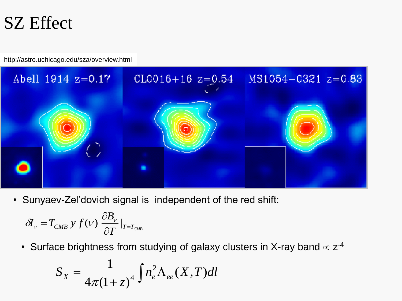### SZ Effect

http://astro.uchicago.edu/sza/overview.html



• Sunyaev-Zel'dovich signal is independent of the red shift:

$$
\delta I_{V} = T_{CMB} y f(V) \frac{\partial B_{V}}{\partial T}\big|_{T = T_{CMB}}
$$

• Surface brightness from studying of galaxy clusters in X-ray band  $\propto z^{-4}$ 

$$
S_X = \frac{1}{4\pi(1+z)^4} \int n_e^2 \Lambda_{ee}(X,T) dl
$$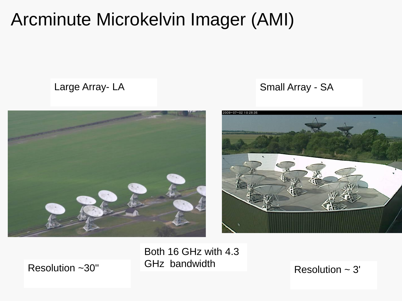### Arcminute Microkelvin Imager (AMI)



Large Array- LA **SMALLARES EXAMPLE ARRAY- SA** Small Array - SA



Both 16 GHz with 4.3 GHz bandwidth Resolution ~30'' Resolution ~ 3'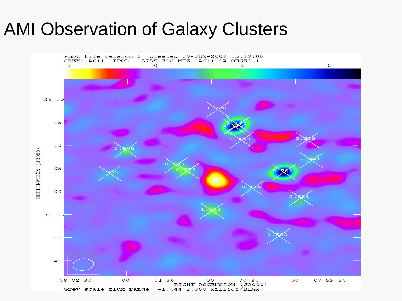### AMI Observation of Galaxy Clusters

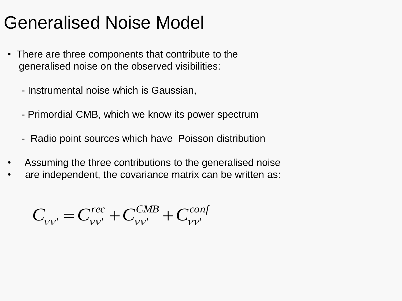## Generalised Noise Model

- There are three components that contribute to the generalised noise on the observed visibilities:
	- Instrumental noise which is Gaussian,
	- Primordial CMB, which we know its power spectrum
	- Radio point sources which have Poisson distribution
- Assuming the three contributions to the generalised noise
- are independent, the covariance matrix can be written as:

$$
C_{\nu\nu} = C_{\nu\nu}^{rec} + C_{\nu\nu}^{CMB} + C_{\nu\nu}^{cont}
$$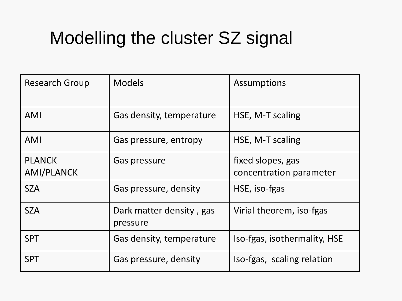## Modelling the cluster SZ signal

| <b>Research Group</b>              | <b>Models</b>                        | Assumptions                                  |
|------------------------------------|--------------------------------------|----------------------------------------------|
| <b>AMI</b>                         | Gas density, temperature             | HSE, M-T scaling                             |
| AMI                                | Gas pressure, entropy                | HSE, M-T scaling                             |
| <b>PLANCK</b><br><b>AMI/PLANCK</b> | Gas pressure                         | fixed slopes, gas<br>concentration parameter |
| <b>SZA</b>                         | Gas pressure, density                | HSE, iso-fgas                                |
| <b>SZA</b>                         | Dark matter density, gas<br>pressure | Virial theorem, iso-fgas                     |
| <b>SPT</b>                         | Gas density, temperature             | Iso-fgas, isothermality, HSE                 |
| <b>SPT</b>                         | Gas pressure, density                | Iso-fgas, scaling relation                   |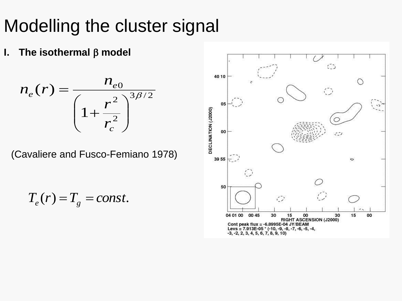## Modelling the cluster signal

**I.** The isothermal  $\beta$  model

$$
n_e(r) = \frac{n_{e0}}{\left(1 + \frac{r^2}{r_c^2}\right)^{3\beta/2}}
$$

(Cavaliere and Fusco-Femiano 1978)

$$
T_e(r) = T_g = const.
$$

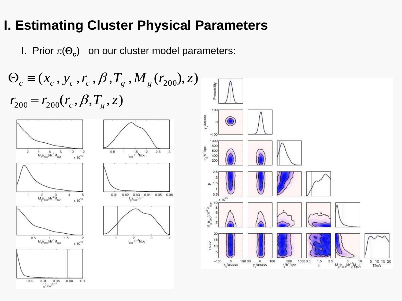#### **I. Estimating Cluster Physical Parameters**

I. Prior  $\pi(\Theta_c)$  on our cluster model parameters:



 $0.04$  0.06<br> $\frac{f_g(r_{200})/h^{-1}}{h}$  $0.02$  $0.04$  $0.08$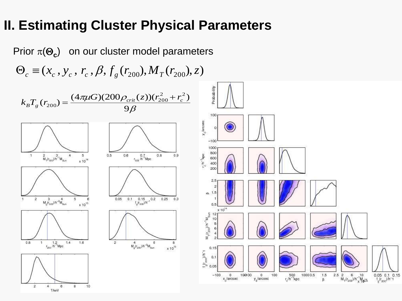#### **II. Estimating Cluster Physical Parameters**

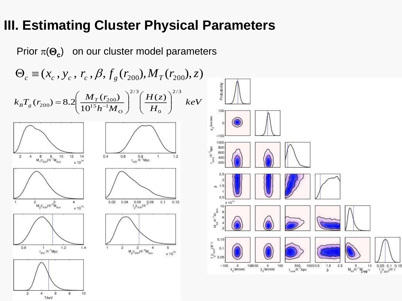#### **III. Estimating Cluster Physical Parameters**

Prior  $\pi(\Theta_c)$  on our cluster model parameters

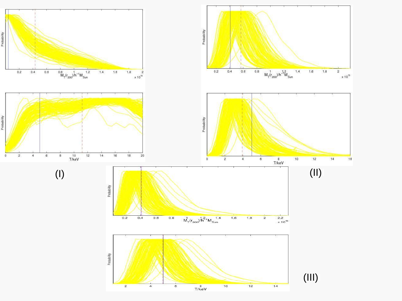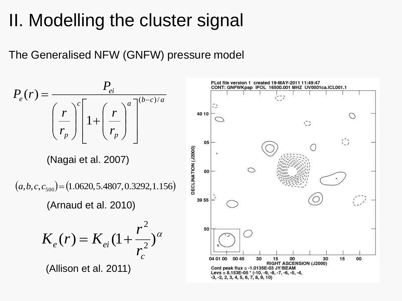## II. Modelling the cluster signal

The Generalised NFW (GNFW) pressure model

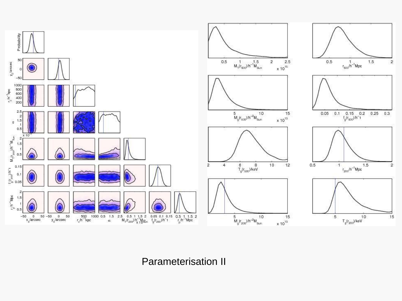

Parameterisation II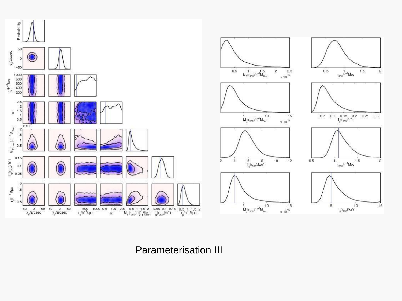

Parameterisation III